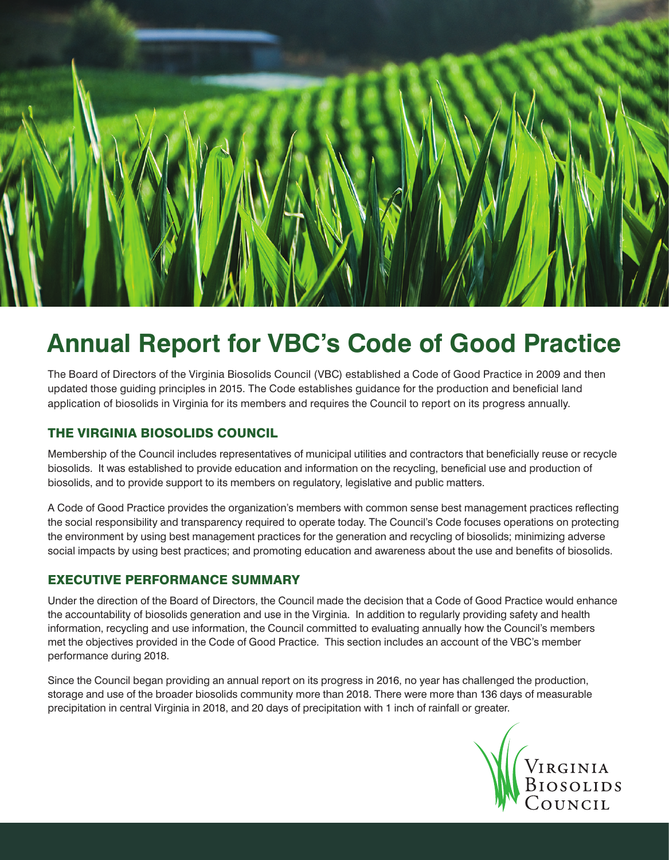

## **Annual Report for VBC's Code of Good Practice**

The Board of Directors of the Virginia Biosolids Council (VBC) established a Code of Good Practice in 2009 and then updated those guiding principles in 2015. The Code establishes guidance for the production and beneficial land application of biosolids in Virginia for its members and requires the Council to report on its progress annually.

## THE VIRGINIA BIOSOLIDS COUNCIL

Membership of the Council includes representatives of municipal utilities and contractors that beneficially reuse or recycle biosolids. It was established to provide education and information on the recycling, beneficial use and production of biosolids, and to provide support to its members on regulatory, legislative and public matters.

A Code of Good Practice provides the organization's members with common sense best management practices reflecting the social responsibility and transparency required to operate today. The Council's Code focuses operations on protecting the environment by using best management practices for the generation and recycling of biosolids; minimizing adverse social impacts by using best practices; and promoting education and awareness about the use and benefits of biosolids.

## EXECUTIVE PERFORMANCE SUMMARY

Under the direction of the Board of Directors, the Council made the decision that a Code of Good Practice would enhance the accountability of biosolids generation and use in the Virginia. In addition to regularly providing safety and health information, recycling and use information, the Council committed to evaluating annually how the Council's members met the objectives provided in the Code of Good Practice. This section includes an account of the VBC's member performance during 2018.

Since the Council began providing an annual report on its progress in 2016, no year has challenged the production, storage and use of the broader biosolids community more than 2018. There were more than 136 days of measurable precipitation in central Virginia in 2018, and 20 days of precipitation with 1 inch of rainfall or greater.